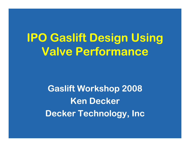## **IPO Gaslift Design Using Valve Performance**

**Gaslift Workshop 2008 Ken DeckerDecker Technology, Inc**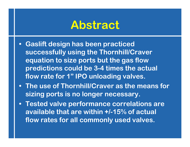#### **Abstract**

- **• Gaslift design has been practiced successfully using the Thornhill/Craver equation to size ports but the gas flow predictions could be 3-4 times the actual flow rate for 1" IPO unloading valves.**
- **• The use of Thornhill/Craver as the means for sizing ports is no longer necessary.**
- **• Tested valve performance correlations are available that are within +/-15% of actual flow rates for all commonly used valves.**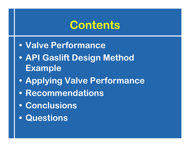#### **Contents**

- **• Valve Performance**
- **• API Gaslift Design Method Example**
- **• Applying Valve Performance**
- **• Recommendations**
- **• Conclusions**
- **• Questions**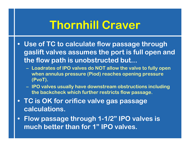### **Thornhill Craver**

- **• Use of TC to calculate flow passage through gaslift valves assumes the port is full open and the flow path is unobstructed but...**
	- **Loadrates of IPO valves do NOT allow the valve to fully open when annulus pressure (Piod) reaches opening pressure (PvoT).**
	- **IPO valves usually have downstream obstructions including the backcheck which further restricts flow passage.**
- **• TC is OK for orifice valve gas passage calculations.**
- **• Flow passage through 1-1/2" IPO valves is much better than for 1" IPO valves.**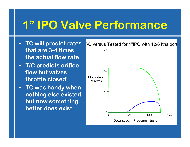#### **1" IPO Valve Performance**

- **• TC will predict rates that are 3-4 times the actual flow rate**
- **• T/C predicts orifice flow but valves throttle closed!**
- **• TC was handy when nothing else existed but now something better does exist.**

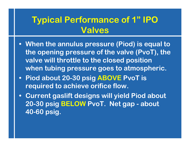#### **Typical Performance of 1" IPO Valves**

- **• When the annulus pressure (Piod) is equal to the opening pressure of the valve (PvoT), the valve will throttle to the closed position when tubing pressure goes to atmospheric.**
- **• Piod about 20-30 psig ABOVE PvoT is required to achieve orifice flow.**
- **• Current gaslift designs will yield Piod about 20-30 psig BELOW PvoT. Net gap - about 40-60 psig.**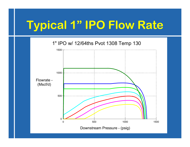## **Typical 1" IPO Flow Rate**

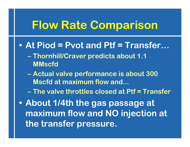#### **Flow Rate Comparison**

- **• At Piod = Pvot and Ptf = Transfer…**
	- **Thornhill/Craver predicts about 1.1 MMscfd**
	- **Actual valve performance is about 300 Mscfd at maximum flow and...**
	- **– The valve throttles closed at Ptf = Transfer**
- **• About 1/4th the gas passage at maximum flow and NO injection at the transfer pressure.**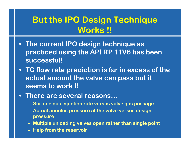#### **But the IPO Design Technique Works !!**

- **• The current IPO design technique as practiced using the API RP 11V6 has been successful!**
- **• TC flow rate prediction is far in excess of the actual amount the valve can pass but it seems to work !!**
- **• There are several reasons…**
	- **Surface gas injection rate versus valve gas passage**
	- **Actual annulus pressure at the valve versus design pressure**
	- **Multiple unloading valves open rather than single point**
	- **Help from the reservoir**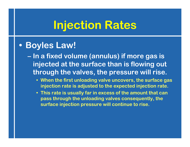#### **Injection Rates**

#### **• Boyles Law!**

**– In a fixed volume (annulus) if more gas is injected at the surface than is flowing out through the valves, the pressure will rise.**

- **• When the first unloading valve uncovers, the surface gas injection rate is adjusted to the expected injection rate.**
- **• This rate is usually far in excess of the amount that can pass through the unloading valves consequently, the surface injection pressure will continue to rise.**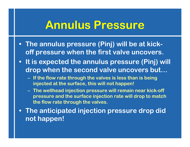#### **Annulus Pressure**

- **• The annulus pressure (Pinj) will be at kickoff pressure when the first valve uncovers.**
- **• It is expected the annulus pressure (Pinj) will drop when the second valve uncovers but…**
	- **If the flow rate through the valves is less than is being injected at the surface, this will not happen!**
	- **The wellhead injection pressure will remain near kick-off pressure and the surface injection rate will drop to match the flow rate through the valves.**
- **• The anticipated injection pressure drop did not happen!**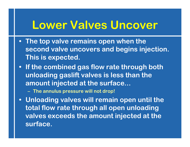#### **Lower Valves Uncover**

- **• The top valve remains open when the second valve uncovers and begins injection. This is expected.**
- **• If the combined gas flow rate through both unloading gaslift valves is less than the amount injected at the surface...**
	- **The annulus pressure will not drop!**
- **• Unloading valves will remain open until the total flow rate through all open unloading valves exceeds the amount injected at the surface.**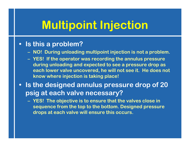## **Multipoint Injection**

#### **• Is this a problem?**

- **NO! During unloading multipoint injection is not a problem.**
- **YES! If the operator was recording the annulus pressure during unloading and expected to see a pressure drop as each lower valve uncovered, he will not see it. He does not know where injection is taking place!**
- **• Is the designed annulus pressure drop of 20 psig at each valve necessary?**
	- **YES! The objective is to ensure that the valves close in sequence from the top to the bottom. Designed pressure drops at each valve will ensure this occurs.**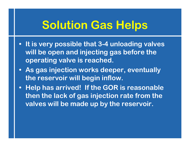#### **Solution Gas Helps**

- **• It is very possible that 3-4 unloading valves will be open and injecting gas before the operating valve is reached.**
- **• As gas injection works deeper, eventually the reservoir will begin inflow.**
- **• Help has arrived! If the GOR is reasonable then the lack of gas injection rate from the valves will be made up by the reservoir.**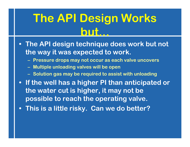## **The API Design Works but.**

- **• The API design technique does work but not the way it was expected to work.**
	- **Pressure drops may not occur as each valve uncovers**
	- **Multiple unloading valves will be open**
	- **Solution gas may be required to assist with unloading**
- **• If the well has a higher PI than anticipated or the water cut is higher, it may not be possible to reach the operating valve.**
- **• This is a little risky. Can we do better?**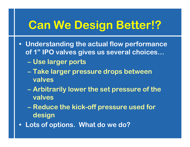## **Can We Design Better!?**

- **• Understanding the actual flow performance of 1" IPO valves gives us several choices…**
	- **Use larger ports**
	- **Take larger pressure drops between valves**
	- **Arbitrarily lower the set pressure of the valves**
	- **– Reduce the kick-off pressure used for design**
- **• Lots of options. What do we do?**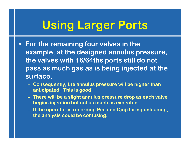# **Using Larger Ports**

- **• For the remaining four valves in the example, at the designed annulus pressure, the valves with 16/64ths ports still do not pass as much gas as is being injected at the surface.**
	- **Consequently, the annulus pressure will be higher than anticipated. This is good!**
	- **There will be a slight annulus pressure drop as each valve begins injection but not as much as expected.**
	- **If the operator is recording Pinj and Qinj during unloading, the analysis could be confusing.**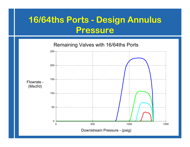#### **16/64ths Ports - Design Annulus Pressure**

Remaining Valves with 16/64ths Ports

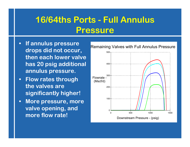#### **16/64ths Ports - Full Annulus Pressure**

- **• If annulus pressure drops did not occur, then each lower valve has 20 psig additional annulus pressure.**
- **• Flow rates through the valves are significantly higher!**
- **• More pressure, more valve opening, and more flow rate!**

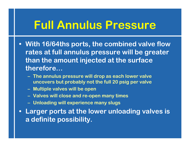#### **Full Annulus Pressure**

- **• With 16/64ths ports, the combined valve flow rates at full annulus pressure will be greater than the amount injected at the surface therefore…**
	- **The annulus pressure will drop as each lower valve uncovers but probably not the full 20 psig per valve**
	- **Multiple valves will be open**
	- **Valves will close and re-open many times**
	- **Unloading will experience many slugs**
- **• Larger ports at the lower unloading valves is a definite possibility.**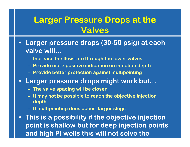#### **Larger Pressure Drops at the Valves**

- **• Larger pressure drops (30-50 psig) at each valve will…**
	- **Increase the flow rate through the lower valves**
	- **Provide more positive indication on injection depth**
	- **Provide better protection against multipointing**
- **• Larger pressure drops might work but…**
	- **The valve spacing will be closer**
	- **It may not be possible to reach the objective injection depth**
	- **If multipointing does occur, larger slugs**

**• This is a possibility if the objective injection point is shallow but for deep injection points and high PI wells this will not solve the**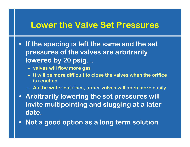#### **Lower the Valve Set Pressures**

- **• If the spacing is left the same and the set pressures of the valves are arbitrarily lowered by 20 psig…**
	- **valves will flow more gas**
	- **– It will be more difficult to close the valves when the orifice is reached**
	- **As the water cut rises, upper valves will open more easily**
- **• Arbitrarily lowering the set pressures will invite multipointing and slugging at a later date.**
- **• Not a good option as a long term solution**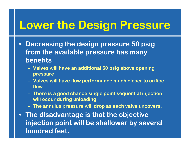#### **Lower the Design Pressure**

- **• Decreasing the design pressure 50 psig from the available pressure has many benefits**
	- **Valves will have an additional 50 psig above opening pressure**
	- **Valves will have flow performance much closer to orifice flow**
	- **There is a good chance single point sequential injection will occur during unloading.**
	- **The annulus pressure will drop as each valve uncovers.**
- **• The disadvantage is that the objective injection point will be shallower by several hundred feet.**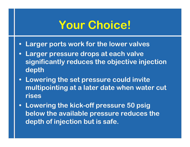#### **Your Choice!**

- **• Larger ports work for the lower valves**
- **• Larger pressure drops at each valve significantly reduces the objective injection depth**
- **• Lowering the set pressure could invite multipointing at a later date when water cut rises**
- **• Lowering the kick-off pressure 50 psig below the available pressure reduces the depth of injection but is safe.**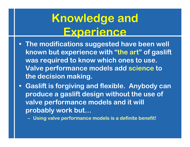## **Knowledge and Experience**

- **• The modifications suggested have been well known but experience with "the art" of gaslift was required to know which ones to use. Valve performance models add science to the decision making.**
- **• Gaslift is forgiving and flexible. Anybody can produce a gaslift design without the use of valve performance models and it will probably work but…**
	- **Using valve performance models is a definite benefit!**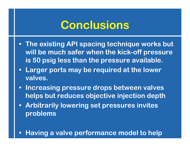#### **Conclusions**

- **• The existing API spacing technique works but will be much safer when the kick-off pressure is 50 psig less than the pressure available.**
- **• Larger ports may be required at the lower valves.**
- **• Increasing pressure drops between valves helps but reduces objective injection depth**
- **• Arbitrarily lowering set pressures invites problems**
- **• Having a valve performance model to help**